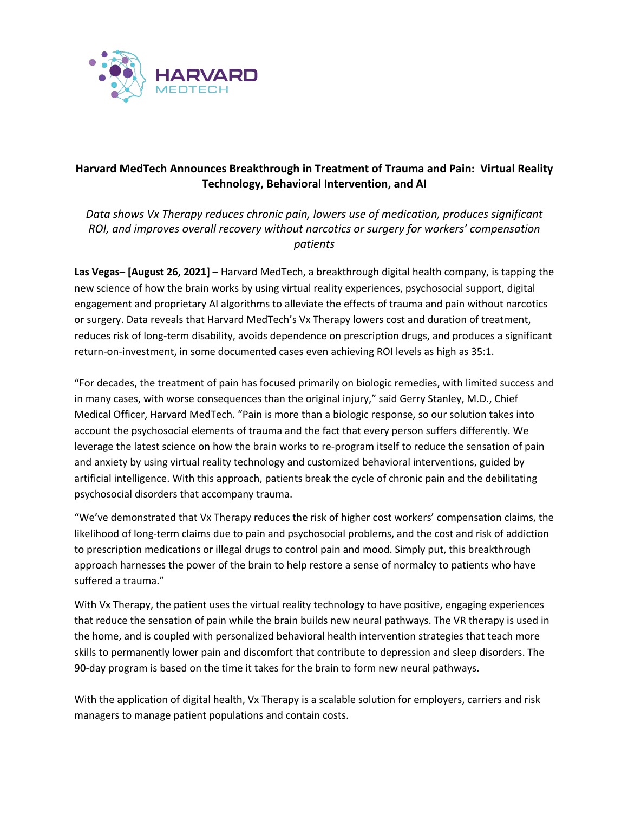

## **Harvard MedTech Announces Breakthrough in Treatment of Trauma and Pain: Virtual Reality Technology, Behavioral Intervention, and AI**

*Data shows Vx Therapy reduces chronic pain, lowers use of medication, produces significant ROI, and improves overall recovery without narcotics or surgery for workers' compensation patients* 

**Las Vegas– [August 26, 2021]** – Harvard MedTech, a breakthrough digital health company, is tapping the new science of how the brain works by using virtual reality experiences, psychosocial support, digital engagement and proprietary AI algorithms to alleviate the effects of trauma and pain without narcotics or surgery. Data reveals that Harvard MedTech's Vx Therapy lowers cost and duration of treatment, reduces risk of long-term disability, avoids dependence on prescription drugs, and produces a significant return-on-investment, in some documented cases even achieving ROI levels as high as 35:1.

"For decades, the treatment of pain has focused primarily on biologic remedies, with limited success and in many cases, with worse consequences than the original injury," said Gerry Stanley, M.D., Chief Medical Officer, Harvard MedTech. "Pain is more than a biologic response, so our solution takes into account the psychosocial elements of trauma and the fact that every person suffers differently. We leverage the latest science on how the brain works to re-program itself to reduce the sensation of pain and anxiety by using virtual reality technology and customized behavioral interventions, guided by artificial intelligence. With this approach, patients break the cycle of chronic pain and the debilitating psychosocial disorders that accompany trauma.

"We've demonstrated that Vx Therapy reduces the risk of higher cost workers' compensation claims, the likelihood of long-term claims due to pain and psychosocial problems, and the cost and risk of addiction to prescription medications or illegal drugs to control pain and mood. Simply put, this breakthrough approach harnesses the power of the brain to help restore a sense of normalcy to patients who have suffered a trauma."

With Vx Therapy, the patient uses the virtual reality technology to have positive, engaging experiences that reduce the sensation of pain while the brain builds new neural pathways. The VR therapy is used in the home, and is coupled with personalized behavioral health intervention strategies that teach more skills to permanently lower pain and discomfort that contribute to depression and sleep disorders. The 90-day program is based on the time it takes for the brain to form new neural pathways.

With the application of digital health, Vx Therapy is a scalable solution for employers, carriers and risk managers to manage patient populations and contain costs.